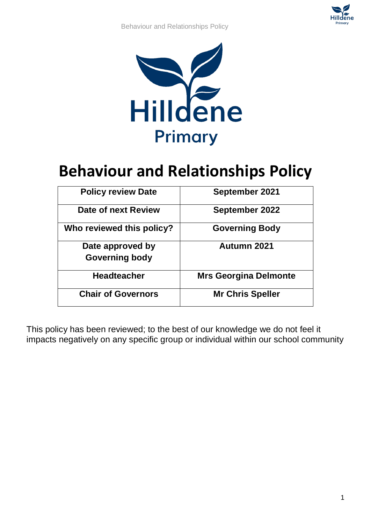Behaviour and Relationships Policy



# **Behaviour and Relationships Policy**

| <b>Policy review Date</b> | <b>September 2021</b>        |
|---------------------------|------------------------------|
| Date of next Review       | <b>September 2022</b>        |
| Who reviewed this policy? | <b>Governing Body</b>        |
| Date approved by          | Autumn 2021                  |
| <b>Governing body</b>     |                              |
| <b>Headteacher</b>        | <b>Mrs Georgina Delmonte</b> |
| <b>Chair of Governors</b> | <b>Mr Chris Speller</b>      |

This policy has been reviewed; to the best of our knowledge we do not feel it impacts negatively on any specific group or individual within our school community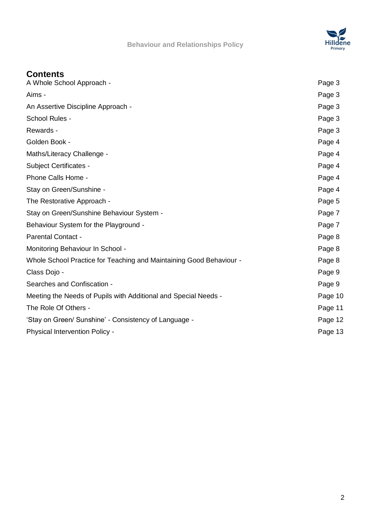



# **Contents**

| A Whole School Approach -                                           | Page 3  |
|---------------------------------------------------------------------|---------|
| Aims -                                                              | Page 3  |
| An Assertive Discipline Approach -                                  | Page 3  |
| School Rules -                                                      | Page 3  |
| Rewards -                                                           | Page 3  |
| Golden Book -                                                       | Page 4  |
| Maths/Literacy Challenge -                                          | Page 4  |
| <b>Subject Certificates -</b>                                       | Page 4  |
| Phone Calls Home -                                                  | Page 4  |
| Stay on Green/Sunshine -                                            | Page 4  |
| The Restorative Approach -                                          | Page 5  |
| Stay on Green/Sunshine Behaviour System -                           | Page 7  |
| Behaviour System for the Playground -                               | Page 7  |
| <b>Parental Contact -</b>                                           | Page 8  |
| Monitoring Behaviour In School -                                    | Page 8  |
| Whole School Practice for Teaching and Maintaining Good Behaviour - | Page 8  |
| Class Dojo -                                                        | Page 9  |
| Searches and Confiscation -                                         | Page 9  |
| Meeting the Needs of Pupils with Additional and Special Needs -     | Page 10 |
| The Role Of Others -                                                | Page 11 |
| 'Stay on Green/ Sunshine' - Consistency of Language -               | Page 12 |
| Physical Intervention Policy -                                      | Page 13 |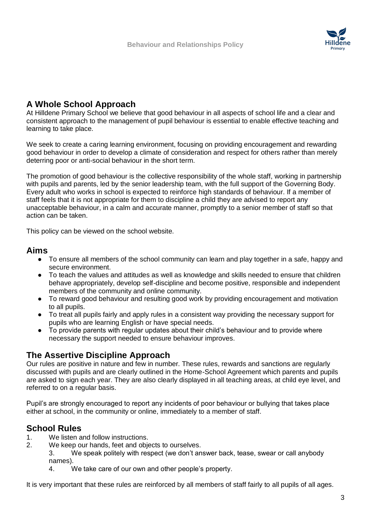

# **A Whole School Approach**

At Hilldene Primary School we believe that good behaviour in all aspects of school life and a clear and consistent approach to the management of pupil behaviour is essential to enable effective teaching and learning to take place.

We seek to create a caring learning environment, focusing on providing encouragement and rewarding good behaviour in order to develop a climate of consideration and respect for others rather than merely deterring poor or anti-social behaviour in the short term.

The promotion of good behaviour is the collective responsibility of the whole staff, working in partnership with pupils and parents, led by the senior leadership team, with the full support of the Governing Body. Every adult who works in school is expected to reinforce high standards of behaviour. If a member of staff feels that it is not appropriate for them to discipline a child they are advised to report any unacceptable behaviour, in a calm and accurate manner, promptly to a senior member of staff so that action can be taken.

This policy can be viewed on the school website.

# **Aims**

- To ensure all members of the school community can learn and play together in a safe, happy and secure environment.
- To teach the values and attitudes as well as knowledge and skills needed to ensure that children behave appropriately, develop self-discipline and become positive, responsible and independent members of the community and online community.
- To reward good behaviour and resulting good work by providing encouragement and motivation to all pupils.
- To treat all pupils fairly and apply rules in a consistent way providing the necessary support for pupils who are learning English or have special needs.
- To provide parents with regular updates about their child's behaviour and to provide where necessary the support needed to ensure behaviour improves.

# **The Assertive Discipline Approach**

Our rules are positive in nature and few in number. These rules, rewards and sanctions are regularly discussed with pupils and are clearly outlined in the Home-School Agreement which parents and pupils are asked to sign each year. They are also clearly displayed in all teaching areas, at child eye level, and referred to on a regular basis.

Pupil's are strongly encouraged to report any incidents of poor behaviour or bullying that takes place either at school, in the community or online, immediately to a member of staff.

# **School Rules**

- 1. We listen and follow instructions.
- 2. We keep our hands, feet and objects to ourselves.
	- 3. We speak politely with respect (we don't answer back, tease, swear or call anybody names).
		- 4. We take care of our own and other people's property.

It is very important that these rules are reinforced by all members of staff fairly to all pupils of all ages.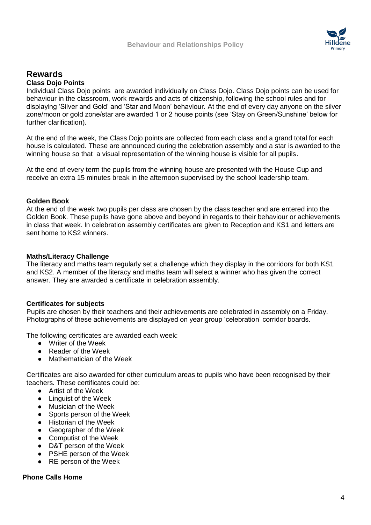

# **Rewards Class Dojo Points**

Individual Class Dojo points are awarded individually on Class Dojo. Class Dojo points can be used for behaviour in the classroom, work rewards and acts of citizenship, following the school rules and for displaying 'Silver and Gold' and 'Star and Moon' behaviour. At the end of every day anyone on the silver zone/moon or gold zone/star are awarded 1 or 2 house points (see 'Stay on Green/Sunshine' below for further clarification).

At the end of the week, the Class Dojo points are collected from each class and a grand total for each house is calculated. These are announced during the celebration assembly and a star is awarded to the winning house so that a visual representation of the winning house is visible for all pupils.

At the end of every term the pupils from the winning house are presented with the House Cup and receive an extra 15 minutes break in the afternoon supervised by the school leadership team.

## **Golden Book**

At the end of the week two pupils per class are chosen by the class teacher and are entered into the Golden Book. These pupils have gone above and beyond in regards to their behaviour or achievements in class that week. In celebration assembly certificates are given to Reception and KS1 and letters are sent home to KS2 winners.

## **Maths/Literacy Challenge**

The literacy and maths team regularly set a challenge which they display in the corridors for both KS1 and KS2. A member of the literacy and maths team will select a winner who has given the correct answer. They are awarded a certificate in celebration assembly.

# **Certificates for subjects**

Pupils are chosen by their teachers and their achievements are celebrated in assembly on a Friday. Photographs of these achievements are displayed on year group 'celebration' corridor boards.

The following certificates are awarded each week:

- Writer of the Week
- Reader of the Week
- Mathematician of the Week

Certificates are also awarded for other curriculum areas to pupils who have been recognised by their teachers. These certificates could be:

- Artist of the Week
- Linguist of the Week
- Musician of the Week
- Sports person of the Week
- Historian of the Week
- Geographer of the Week
- Computist of the Week
- D&T person of the Week
- PSHE person of the Week
- RE person of the Week

## **Phone Calls Home**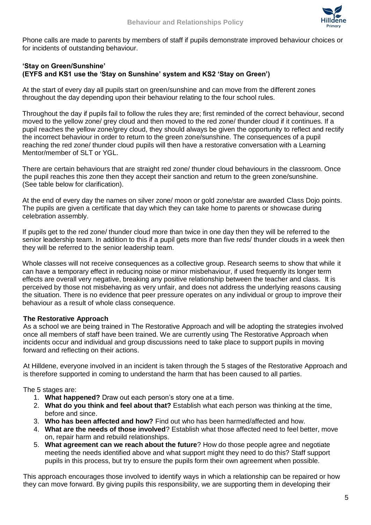

Phone calls are made to parents by members of staff if pupils demonstrate improved behaviour choices or for incidents of outstanding behaviour.

## **'Stay on Green/Sunshine' (EYFS and KS1 use the 'Stay on Sunshine' system and KS2 'Stay on Green')**

At the start of every day all pupils start on green/sunshine and can move from the different zones throughout the day depending upon their behaviour relating to the four school rules.

Throughout the day if pupils fail to follow the rules they are; first reminded of the correct behaviour, second moved to the yellow zone/ grey cloud and then moved to the red zone/ thunder cloud if it continues. If a pupil reaches the yellow zone/grey cloud, they should always be given the opportunity to reflect and rectify the incorrect behaviour in order to return to the green zone/sunshine. The consequences of a pupil reaching the red zone/ thunder cloud pupils will then have a restorative conversation with a Learning Mentor/member of SLT or YGL.

There are certain behaviours that are straight red zone/ thunder cloud behaviours in the classroom. Once the pupil reaches this zone then they accept their sanction and return to the green zone/sunshine. (See table below for clarification).

At the end of every day the names on silver zone/ moon or gold zone/star are awarded Class Dojo points. The pupils are given a certificate that day which they can take home to parents or showcase during celebration assembly.

If pupils get to the red zone/ thunder cloud more than twice in one day then they will be referred to the senior leadership team. In addition to this if a pupil gets more than five reds/ thunder clouds in a week then they will be referred to the senior leadership team.

Whole classes will not receive consequences as a collective group. Research seems to show that while it can have a temporary effect in reducing noise or minor misbehaviour, if used frequently its longer term effects are overall very negative, breaking any positive relationship between the teacher and class. It is perceived by those not misbehaving as very unfair, and does not address the underlying reasons causing the situation. There is no evidence that peer pressure operates on any individual or group to improve their behaviour as a result of whole class consequence.

# **The Restorative Approach**

As a school we are being trained in The Restorative Approach and will be adopting the strategies involved once all members of staff have been trained. We are currently using The Restorative Approach when incidents occur and individual and group discussions need to take place to support pupils in moving forward and reflecting on their actions.

At Hilldene, everyone involved in an incident is taken through the 5 stages of the Restorative Approach and is therefore supported in coming to understand the harm that has been caused to all parties.

The 5 stages are:

- 1. **What happened?** Draw out each person's story one at a time.
- 2. **What do you think and feel about that?** Establish what each person was thinking at the time, before and since.
- 3. **Who has been affected and how?** Find out who has been harmed/affected and how.
- 4. **What are the needs of those involved**? Establish what those affected need to feel better, move on, repair harm and rebuild relationships.
- 5. **What agreement can we reach about the future**? How do those people agree and negotiate meeting the needs identified above and what support might they need to do this? Staff support pupils in this process, but try to ensure the pupils form their own agreement when possible.

This approach encourages those involved to identify ways in which a relationship can be repaired or how they can move forward. By giving pupils this responsibility, we are supporting them in developing their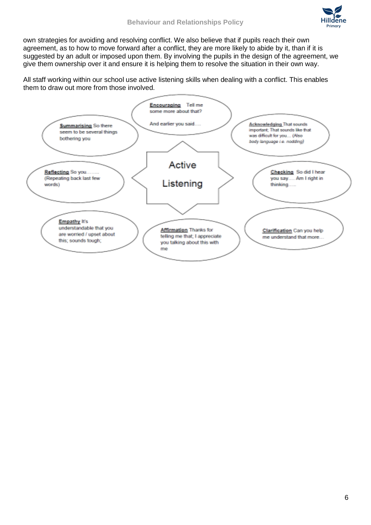own strategies for avoiding and resolving conflict. We also believe that if pupils reach their own agreement, as to how to move forward after a conflict, they are more likely to abide by it, than if it is suggested by an adult or imposed upon them. By involving the pupils in the design of the agreement, we give them ownership over it and ensure it is helping them to resolve the situation in their own way.

All staff working within our school use active listening skills when dealing with a conflict. This enables them to draw out more from those involved.

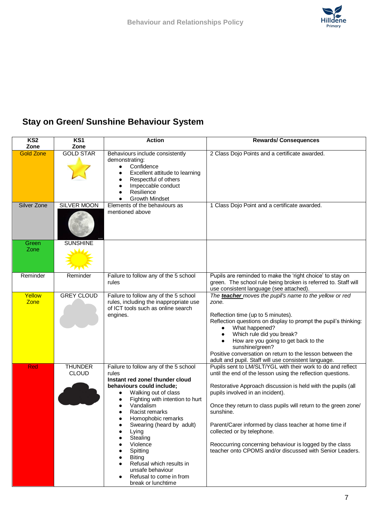

# **Stay on Green/ Sunshine Behaviour System**

| KS <sub>2</sub>          | KS1                      | <b>Action</b>                                                                                                                                       | <b>Rewards/Consequences</b>                                                                                                                                            |
|--------------------------|--------------------------|-----------------------------------------------------------------------------------------------------------------------------------------------------|------------------------------------------------------------------------------------------------------------------------------------------------------------------------|
| Zone<br><b>Gold Zone</b> | Zone<br><b>GOLD STAR</b> | Behaviours include consistently                                                                                                                     | 2 Class Dojo Points and a certificate awarded.                                                                                                                         |
|                          |                          | demonstrating:<br>Confidence<br>Excellent attitude to learning<br>Respectful of others<br>Impeccable conduct<br>Resilience<br><b>Growth Mindset</b> |                                                                                                                                                                        |
| Silver Zone              | SILVER MOON              | Elements of the behaviours as                                                                                                                       | 1 Class Dojo Point and a certificate awarded.                                                                                                                          |
|                          |                          | mentioned above                                                                                                                                     |                                                                                                                                                                        |
| Green                    | <b>SUNSHINE</b>          |                                                                                                                                                     |                                                                                                                                                                        |
| Zone                     |                          |                                                                                                                                                     |                                                                                                                                                                        |
| Reminder                 | Reminder                 | Failure to follow any of the 5 school<br>rules                                                                                                      | Pupils are reminded to make the 'right choice' to stay on<br>green. The school rule being broken is referred to. Staff will<br>use consistent language (see attached). |
| Yellow                   | <b>GREY CLOUD</b>        | Failure to follow any of the 5 school                                                                                                               | The teacher moves the pupil's name to the yellow or red                                                                                                                |
| Zone                     |                          | rules, including the inappropriate use<br>of ICT tools such as online search                                                                        | zone.                                                                                                                                                                  |
|                          |                          | engines.                                                                                                                                            | Reflection time (up to 5 minutes).                                                                                                                                     |
|                          |                          |                                                                                                                                                     | Reflection questions on display to prompt the pupil's thinking:                                                                                                        |
|                          |                          |                                                                                                                                                     | What happened?                                                                                                                                                         |
|                          |                          |                                                                                                                                                     | Which rule did you break?                                                                                                                                              |
|                          |                          |                                                                                                                                                     | How are you going to get back to the<br>sunshine/green?                                                                                                                |
|                          |                          |                                                                                                                                                     | Positive conversation on return to the lesson between the                                                                                                              |
|                          |                          |                                                                                                                                                     | adult and pupil. Staff will use consistent language.                                                                                                                   |
| <b>Red</b>               | <b>THUNDER</b>           | Failure to follow any of the 5 school                                                                                                               | Pupils sent to LM/SLT/YGL with their work to do and reflect                                                                                                            |
|                          | <b>CLOUD</b>             | rules<br>Instant red zone/ thunder cloud                                                                                                            | until the end of the lesson using the reflection questions.                                                                                                            |
|                          |                          | behaviours could include;                                                                                                                           | Restorative Approach discussion is held with the pupils (all                                                                                                           |
|                          |                          | Walking out of class                                                                                                                                | pupils involved in an incident).                                                                                                                                       |
|                          |                          | Fighting with intention to hurt                                                                                                                     |                                                                                                                                                                        |
|                          |                          | Vandalism<br>Racist remarks                                                                                                                         | Once they return to class pupils will return to the green zone/<br>sunshine.                                                                                           |
|                          |                          | Homophobic remarks                                                                                                                                  |                                                                                                                                                                        |
|                          |                          | Swearing (heard by adult)                                                                                                                           | Parent/Carer informed by class teacher at home time if                                                                                                                 |
|                          |                          | Lying                                                                                                                                               | collected or by telephone.                                                                                                                                             |
|                          |                          | Stealing<br>Violence                                                                                                                                | Reoccurring concerning behaviour is logged by the class                                                                                                                |
|                          |                          | Spitting                                                                                                                                            | teacher onto CPOMS and/or discussed with Senior Leaders.                                                                                                               |
|                          |                          | <b>Biting</b>                                                                                                                                       |                                                                                                                                                                        |
|                          |                          | Refusal which results in                                                                                                                            |                                                                                                                                                                        |
|                          |                          | unsafe behaviour<br>Refusal to come in from                                                                                                         |                                                                                                                                                                        |
|                          |                          | break or lunchtime                                                                                                                                  |                                                                                                                                                                        |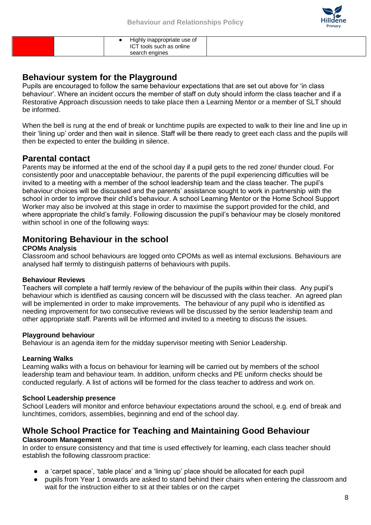

| search engines |
|----------------|
|----------------|

# **Behaviour system for the Playground**

Pupils are encouraged to follow the same behaviour expectations that are set out above for 'in class behaviour'. Where an incident occurs the member of staff on duty should inform the class teacher and if a Restorative Approach discussion needs to take place then a Learning Mentor or a member of SLT should be informed.

When the bell is rung at the end of break or lunchtime pupils are expected to walk to their line and line up in their 'lining up' order and then wait in silence. Staff will be there ready to greet each class and the pupils will then be expected to enter the building in silence.

# **Parental contact**

Parents may be informed at the end of the school day if a pupil gets to the red zone/ thunder cloud. For consistently poor and unacceptable behaviour, the parents of the pupil experiencing difficulties will be invited to a meeting with a member of the school leadership team and the class teacher. The pupil's behaviour choices will be discussed and the parents' assistance sought to work in partnership with the school in order to improve their child's behaviour. A school Learning Mentor or the Home School Support Worker may also be involved at this stage in order to maximise the support provided for the child, and where appropriate the child's family. Following discussion the pupil's behaviour may be closely monitored within school in one of the following ways:

# **Monitoring Behaviour in the school**

# **CPOMs Analysis**

Classroom and school behaviours are logged onto CPOMs as well as internal exclusions. Behaviours are analysed half termly to distinguish patterns of behaviours with pupils.

# **Behaviour Reviews**

Teachers will complete a half termly review of the behaviour of the pupils within their class. Any pupil's behaviour which is identified as causing concern will be discussed with the class teacher. An agreed plan will be implemented in order to make improvements. The behaviour of any pupil who is identified as needing improvement for two consecutive reviews will be discussed by the senior leadership team and other appropriate staff. Parents will be informed and invited to a meeting to discuss the issues.

# **Playground behaviour**

Behaviour is an agenda item for the midday supervisor meeting with Senior Leadership.

# **Learning Walks**

Learning walks with a focus on behaviour for learning will be carried out by members of the school leadership team and behaviour team. In addition, uniform checks and PE uniform checks should be conducted regularly. A list of actions will be formed for the class teacher to address and work on.

# **School Leadership presence**

School Leaders will monitor and enforce behaviour expectations around the school, e.g. end of break and lunchtimes, corridors, assemblies, beginning and end of the school day.

# **Whole School Practice for Teaching and Maintaining Good Behaviour Classroom Management**

In order to ensure consistency and that time is used effectively for learning, each class teacher should establish the following classroom practice:

- a 'carpet space', 'table place' and a 'lining up' place should be allocated for each pupil
- pupils from Year 1 onwards are asked to stand behind their chairs when entering the classroom and wait for the instruction either to sit at their tables or on the carpet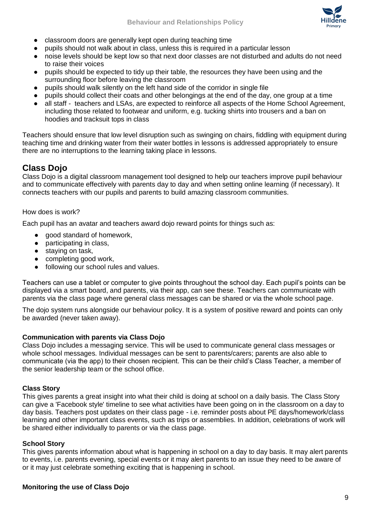

- classroom doors are generally kept open during teaching time
- pupils should not walk about in class, unless this is required in a particular lesson
- noise levels should be kept low so that next door classes are not disturbed and adults do not need to raise their voices
- pupils should be expected to tidy up their table, the resources they have been using and the surrounding floor before leaving the classroom
- pupils should walk silently on the left hand side of the corridor in single file
- pupils should collect their coats and other belongings at the end of the day, one group at a time
- all staff teachers and LSAs, are expected to reinforce all aspects of the Home School Agreement, including those related to footwear and uniform, e.g. tucking shirts into trousers and a ban on hoodies and tracksuit tops in class

Teachers should ensure that low level disruption such as swinging on chairs, fiddling with equipment during teaching time and drinking water from their water bottles in lessons is addressed appropriately to ensure there are no interruptions to the learning taking place in lessons.

# **Class Dojo**

Class Dojo is a digital classroom management tool designed to help our teachers improve pupil behaviour and to communicate effectively with parents day to day and when setting online learning (if necessary). It connects teachers with our pupils and parents to build amazing classroom communities.

# How does is work?

Each pupil has an avatar and teachers award dojo reward points for things such as:

- good standard of homework,
- participating in class,
- staying on task,
- completing good work,
- following our school rules and values.

Teachers can use a tablet or computer to give points throughout the school day. Each pupil's points can be displayed via a smart board, and parents, via their app, can see these. Teachers can communicate with parents via the class page where general class messages can be shared or via the whole school page.

The dojo system runs alongside our behaviour policy. It is a system of positive reward and points can only be awarded (never taken away).

# **Communication with parents via Class Dojo**

Class Dojo includes a messaging service. This will be used to communicate general class messages or whole school messages. Individual messages can be sent to parents/carers; parents are also able to communicate (via the app) to their chosen recipient. This can be their child's Class Teacher, a member of the senior leadership team or the school office.

# **Class Story**

This gives parents a great insight into what their child is doing at school on a daily basis. The Class Story can give a 'Facebook style' timeline to see what activities have been going on in the classroom on a day to day basis. Teachers post updates on their class page - i.e. reminder posts about PE days/homework/class learning and other important class events, such as trips or assemblies. In addition, celebrations of work will be shared either individually to parents or via the class page.

### **School Story**

This gives parents information about what is happening in school on a day to day basis. It may alert parents to events, i.e. parents evening, special events or it may alert parents to an issue they need to be aware of or it may just celebrate something exciting that is happening in school.

### **Monitoring the use of Class Dojo**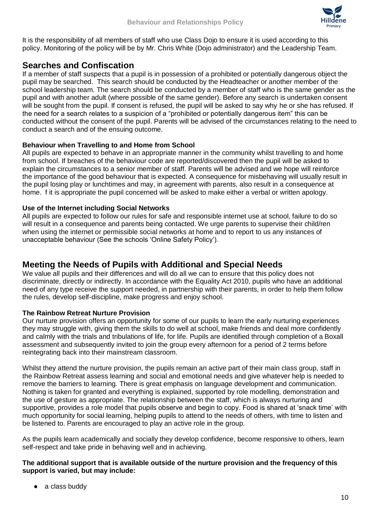

It is the responsibility of all members of staff who use Class Dojo to ensure it is used according to this policy. Monitoring of the policy will be by Mr. Chris White (Dojo administrator) and the Leadership Team.

# **Searches and Confiscation**

If a member of staff suspects that a pupil is in possession of a prohibited or potentially dangerous object the pupil may be searched. This search should be conducted by the Headteacher or another member of the school leadership team. The search should be conducted by a member of staff who is the same gender as the pupil and with another adult (where possible of the same gender). Before any search is undertaken consent will be sought from the pupil. If consent is refused, the pupil will be asked to say why he or she has refused. If the need for a search relates to a suspicion of a "prohibited or potentially dangerous item" this can be conducted without the consent of the pupil. Parents will be advised of the circumstances relating to the need to conduct a search and of the ensuing outcome.

# **Behaviour when Travelling to and Home from School**

All pupils are expected to behave in an appropriate manner in the community whilst travelling to and home from school. If breaches of the behaviour code are reported/discovered then the pupil will be asked to explain the circumstances to a senior member of staff. Parents will be advised and we hope will reinforce the importance of the good behaviour that is expected. A consequence for misbehaving will usually result in the pupil losing play or lunchtimes and may, in agreement with parents, also result in a consequence at home. f it is appropriate the pupil concerned will be asked to make either a verbal or written apology.

# **Use of the Internet including Social Networks**

All pupils are expected to follow our rules for safe and responsible internet use at school, failure to do so will result in a consequence and parents being contacted. We urge parents to supervise their child/ren when using the internet or permissible social networks at home and to report to us any instances of unacceptable behaviour (See the schools 'Online Safety Policy').

# **Meeting the Needs of Pupils with Additional and Special Needs**

We value all pupils and their differences and will do all we can to ensure that this policy does not discriminate, directly or indirectly. In accordance with the Equality Act 2010, pupils who have an additional need of any type receive the support needed, in partnership with their parents, in order to help them follow the rules, develop self-discipline, make progress and enjoy school.

# **The Rainbow Retreat Nurture Provision**

Our nurture provision offers an opportunity for some of our pupils to learn the early nurturing experiences they may struggle with, giving them the skills to do well at school, make friends and deal more confidently and calmly with the trials and tribulations of life, for life. Pupils are identified through completion of a Boxall assessment and subsequently invited to join the group every afternoon for a period of 2 terms before reintegrating back into their mainstream classroom.

Whilst they attend the nurture provision, the pupils remain an active part of their main class group, staff in the Rainbow Retreat assess learning and social and emotional needs and give whatever help is needed to remove the barriers to learning. There is great emphasis on language development and communication. Nothing is taken for granted and everything is explained, supported by role modelling, demonstration and the use of gesture as appropriate. The relationship between the staff, which is always nurturing and supportive, provides a role model that pupils observe and begin to copy. Food is shared at 'snack time' with much opportunity for social learning, helping pupils to attend to the needs of others, with time to listen and be listened to. Parents are encouraged to play an active role in the group.

As the pupils learn academically and socially they develop confidence, become responsive to others, learn self-respect and take pride in behaving well and in achieving.

## **The additional support that is available outside of the nurture provision and the frequency of this support is varied, but may include:**

• a class buddy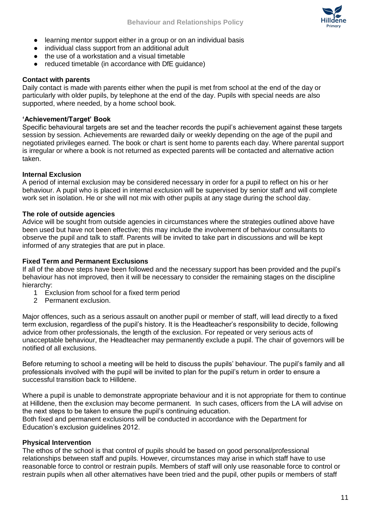

- learning mentor support either in a group or on an individual basis
- individual class support from an additional adult
- the use of a workstation and a visual timetable
- reduced timetable (in accordance with DfE quidance)

#### **Contact with parents**

Daily contact is made with parents either when the pupil is met from school at the end of the day or particularly with older pupils, by telephone at the end of the day. Pupils with special needs are also supported, where needed, by a home school book.

### **'Achievement/Target' Book**

Specific behavioural targets are set and the teacher records the pupil's achievement against these targets session by session. Achievements are rewarded daily or weekly depending on the age of the pupil and negotiated privileges earned. The book or chart is sent home to parents each day. Where parental support is irregular or where a book is not returned as expected parents will be contacted and alternative action taken.

#### **Internal Exclusion**

A period of internal exclusion may be considered necessary in order for a pupil to reflect on his or her behaviour. A pupil who is placed in internal exclusion will be supervised by senior staff and will complete work set in isolation. He or she will not mix with other pupils at any stage during the school day.

#### **The role of outside agencies**

Advice will be sought from outside agencies in circumstances where the strategies outlined above have been used but have not been effective; this may include the involvement of behaviour consultants to observe the pupil and talk to staff. Parents will be invited to take part in discussions and will be kept informed of any strategies that are put in place.

#### **Fixed Term and Permanent Exclusions**

If all of the above steps have been followed and the necessary support has been provided and the pupil's behaviour has not improved, then it will be necessary to consider the remaining stages on the discipline hierarchy:

- 1 Exclusion from school for a fixed term period
- 2 Permanent exclusion.

Major offences, such as a serious assault on another pupil or member of staff, will lead directly to a fixed term exclusion, regardless of the pupil's history. It is the Headteacher's responsibility to decide, following advice from other professionals, the length of the exclusion. For repeated or very serious acts of unacceptable behaviour, the Headteacher may permanently exclude a pupil. The chair of governors will be notified of all exclusions.

Before returning to school a meeting will be held to discuss the pupils' behaviour. The pupil's family and all professionals involved with the pupil will be invited to plan for the pupil's return in order to ensure a successful transition back to Hilldene.

Where a pupil is unable to demonstrate appropriate behaviour and it is not appropriate for them to continue at Hilldene, then the exclusion may become permanent. In such cases, officers from the LA will advise on the next steps to be taken to ensure the pupil's continuing education.

Both fixed and permanent exclusions will be conducted in accordance with the Department for Education's exclusion guidelines 2012.

#### **Physical Intervention**

The ethos of the school is that control of pupils should be based on good personal/professional relationships between staff and pupils. However, circumstances may arise in which staff have to use reasonable force to control or restrain pupils. Members of staff will only use reasonable force to control or restrain pupils when all other alternatives have been tried and the pupil, other pupils or members of staff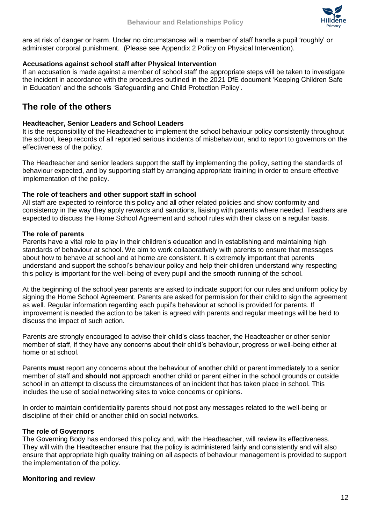

are at risk of danger or harm. Under no circumstances will a member of staff handle a pupil 'roughly' or administer corporal punishment. (Please see Appendix 2 Policy on Physical Intervention).

## **Accusations against school staff after Physical Intervention**

If an accusation is made against a member of school staff the appropriate steps will be taken to investigate the incident in accordance with the procedures outlined in the 2021 DfE document 'Keeping Children Safe in Education' and the schools 'Safeguarding and Child Protection Policy'.

# **The role of the others**

### **Headteacher, Senior Leaders and School Leaders**

It is the responsibility of the Headteacher to implement the school behaviour policy consistently throughout the school, keep records of all reported serious incidents of misbehaviour, and to report to governors on the effectiveness of the policy.

The Headteacher and senior leaders support the staff by implementing the policy, setting the standards of behaviour expected, and by supporting staff by arranging appropriate training in order to ensure effective implementation of the policy.

## **The role of teachers and other support staff in school**

All staff are expected to reinforce this policy and all other related policies and show conformity and consistency in the way they apply rewards and sanctions, liaising with parents where needed. Teachers are expected to discuss the Home School Agreement and school rules with their class on a regular basis.

## **The role of parents**

Parents have a vital role to play in their children's education and in establishing and maintaining high standards of behaviour at school. We aim to work collaboratively with parents to ensure that messages about how to behave at school and at home are consistent. It is extremely important that parents understand and support the school's behaviour policy and help their children understand why respecting this policy is important for the well-being of every pupil and the smooth running of the school.

At the beginning of the school year parents are asked to indicate support for our rules and uniform policy by signing the Home School Agreement. Parents are asked for permission for their child to sign the agreement as well. Regular information regarding each pupil's behaviour at school is provided for parents. If improvement is needed the action to be taken is agreed with parents and regular meetings will be held to discuss the impact of such action.

Parents are strongly encouraged to advise their child's class teacher, the Headteacher or other senior member of staff, if they have any concerns about their child's behaviour, progress or well-being either at home or at school.

Parents **must** report any concerns about the behaviour of another child or parent immediately to a senior member of staff and **should not** approach another child or parent either in the school grounds or outside school in an attempt to discuss the circumstances of an incident that has taken place in school. This includes the use of social networking sites to voice concerns or opinions.

In order to maintain confidentiality parents should not post any messages related to the well-being or discipline of their child or another child on social networks.

# **The role of Governors**

The Governing Body has endorsed this policy and, with the Headteacher, will review its effectiveness. They will with the Headteacher ensure that the policy is administered fairly and consistently and will also ensure that appropriate high quality training on all aspects of behaviour management is provided to support the implementation of the policy.

### **Monitoring and review**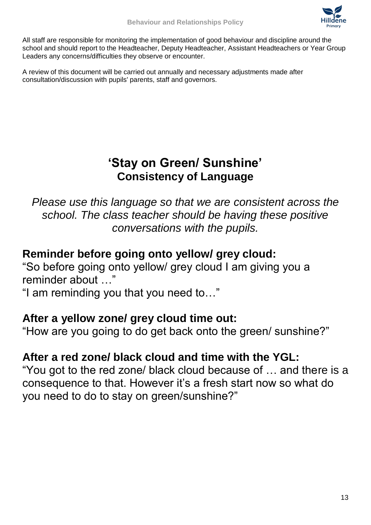

All staff are responsible for monitoring the implementation of good behaviour and discipline around the school and should report to the Headteacher, Deputy Headteacher, Assistant Headteachers or Year Group Leaders any concerns/difficulties they observe or encounter.

A review of this document will be carried out annually and necessary adjustments made after consultation/discussion with pupils' parents, staff and governors.

# **'Stay on Green/ Sunshine' Consistency of Language**

*Please use this language so that we are consistent across the school. The class teacher should be having these positive conversations with the pupils.*

# **Reminder before going onto yellow/ grey cloud:**

"So before going onto yellow/ grey cloud I am giving you a reminder about …"

"I am reminding you that you need to…"

# **After a yellow zone/ grey cloud time out:**

"How are you going to do get back onto the green/ sunshine?"

# **After a red zone/ black cloud and time with the YGL:**

"You got to the red zone/ black cloud because of … and there is a consequence to that. However it's a fresh start now so what do you need to do to stay on green/sunshine?"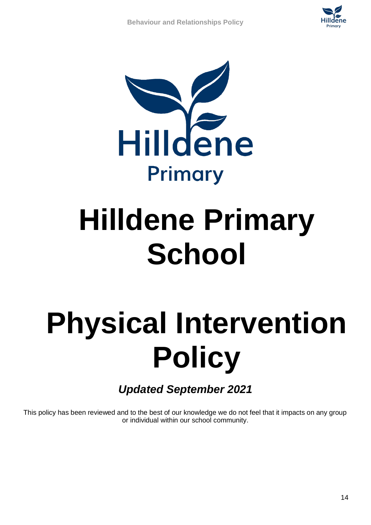



# **Hilldene Primary School**

# **Physical Intervention Policy**

*Updated September 2021*

This policy has been reviewed and to the best of our knowledge we do not feel that it impacts on any group or individual within our school community.